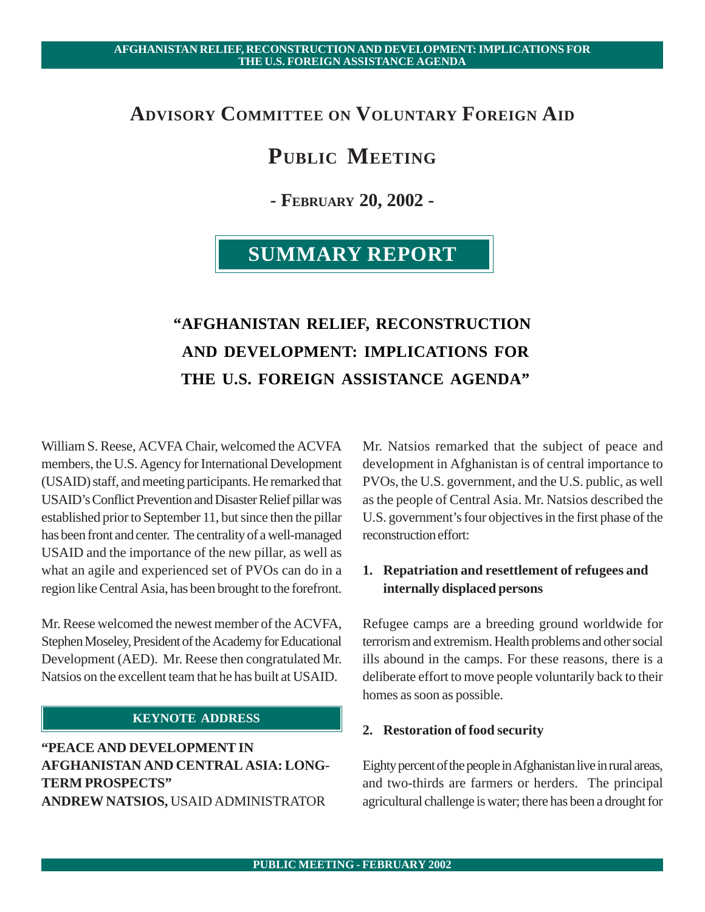# **ADVISORY COMMITTEE ON VOLUNTARY FOREIGN AID**

# **PUBLIC MEETING**

**- FEBRUARY 20, 2002 -**

# **SUMMARY REPORT**

# **"AFGHANISTAN RELIEF, RECONSTRUCTION AND DEVELOPMENT: IMPLICATIONS FOR THE U.S. FOREIGN ASSISTANCE AGENDA"**

William S. Reese, ACVFA Chair, welcomed the ACVFA members, the U.S. Agency for International Development (USAID) staff, and meeting participants. He remarked that USAID's Conflict Prevention and Disaster Relief pillar was established prior to September 11, but since then the pillar has been front and center. The centrality of a well-managed USAID and the importance of the new pillar, as well as what an agile and experienced set of PVOs can do in a region like Central Asia, has been brought to the forefront.

Mr. Reese welcomed the newest member of the ACVFA, Stephen Moseley, President of the Academy for Educational Development (AED). Mr. Reese then congratulated Mr. Natsios on the excellent team that he has built at USAID.

# **KEYNOTE ADDRESS**

**"PEACE AND DEVELOPMENT IN AFGHANISTAN AND CENTRAL ASIA: LONG-TERM PROSPECTS" ANDREW NATSIOS,** USAID ADMINISTRATOR

Mr. Natsios remarked that the subject of peace and development in Afghanistan is of central importance to PVOs, the U.S. government, and the U.S. public, as well as the people of Central Asia. Mr. Natsios described the U.S. government's four objectives in the first phase of the reconstruction effort:

# **1. Repatriation and resettlement of refugees and internally displaced persons**

Refugee camps are a breeding ground worldwide for terrorism and extremism. Health problems and other social ills abound in the camps. For these reasons, there is a deliberate effort to move people voluntarily back to their homes as soon as possible.

## **2. Restoration of food security**

Eighty percent of the people in Afghanistan live in rural areas, and two-thirds are farmers or herders. The principal agricultural challenge is water; there has been a drought for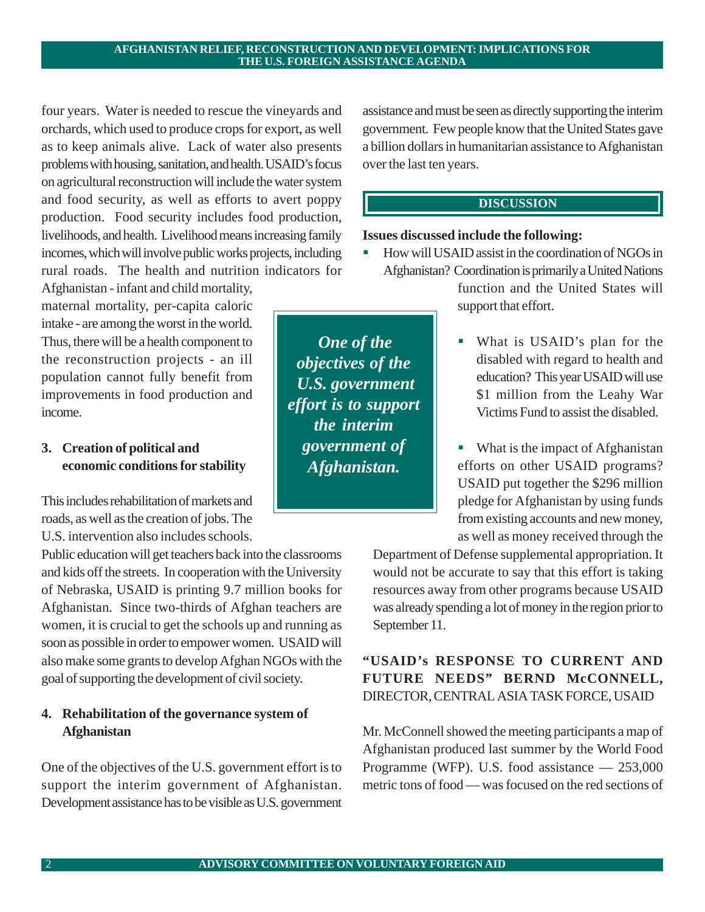four years. Water is needed to rescue the vineyards and orchards, which used to produce crops for export, as well as to keep animals alive. Lack of water also presents problems with housing, sanitation, and health. USAID's focus on agricultural reconstruction will include the water system and food security, as well as efforts to avert poppy production. Food security includes food production, livelihoods, and health. Livelihood means increasing family incomes, which will involve public works projects, including rural roads. The health and nutrition indicators for

Afghanistan - infant and child mortality, maternal mortality, per-capita caloric intake - are among the worst in the world. Thus, there will be a health component to the reconstruction projects - an ill population cannot fully benefit from improvements in food production and income.

# **3. Creation of political and economic conditions for stability**

This includes rehabilitation of markets and roads, as well as the creation of jobs. The U.S. intervention also includes schools.

Public education will get teachers back into the classrooms and kids off the streets. In cooperation with the University of Nebraska, USAID is printing 9.7 million books for Afghanistan. Since two-thirds of Afghan teachers are women, it is crucial to get the schools up and running as soon as possible in order to empower women. USAID will also make some grants to develop Afghan NGOs with the goal of supporting the development of civil society.

# **4. Rehabilitation of the governance system of Afghanistan**

One of the objectives of the U.S. government effort is to support the interim government of Afghanistan. Development assistance has to be visible as U.S. government

assistance and must be seen as directly supporting the interim government. Few people know that the United States gave a billion dollars in humanitarian assistance to Afghanistan over the last ten years.

# **DISCUSSION**

## **Issues discussed include the following:**

- ! How will USAID assist in the coordination of NGOs in Afghanistan? Coordination is primarily a United Nations function and the United States will support that effort.
	- ! What is USAID's plan for the disabled with regard to health and education? This year USAID will use \$1 million from the Leahy War Victims Fund to assist the disabled.
	- What is the impact of Afghanistan efforts on other USAID programs? USAID put together the \$296 million pledge for Afghanistan by using funds from existing accounts and new money, as well as money received through the

Department of Defense supplemental appropriation. It would not be accurate to say that this effort is taking resources away from other programs because USAID was already spending a lot of money in the region prior to September 11.

# **"USAID's RESPONSE TO CURRENT AND FUTURE NEEDS" BERND McCONNELL,** DIRECTOR, CENTRAL ASIA TASK FORCE, USAID

Mr. McConnell showed the meeting participants a map of Afghanistan produced last summer by the World Food Programme (WFP). U.S. food assistance — 253,000 metric tons of food — was focused on the red sections of

*One of the objectives of the U.S. government effort is to support the interim government of Afghanistan.*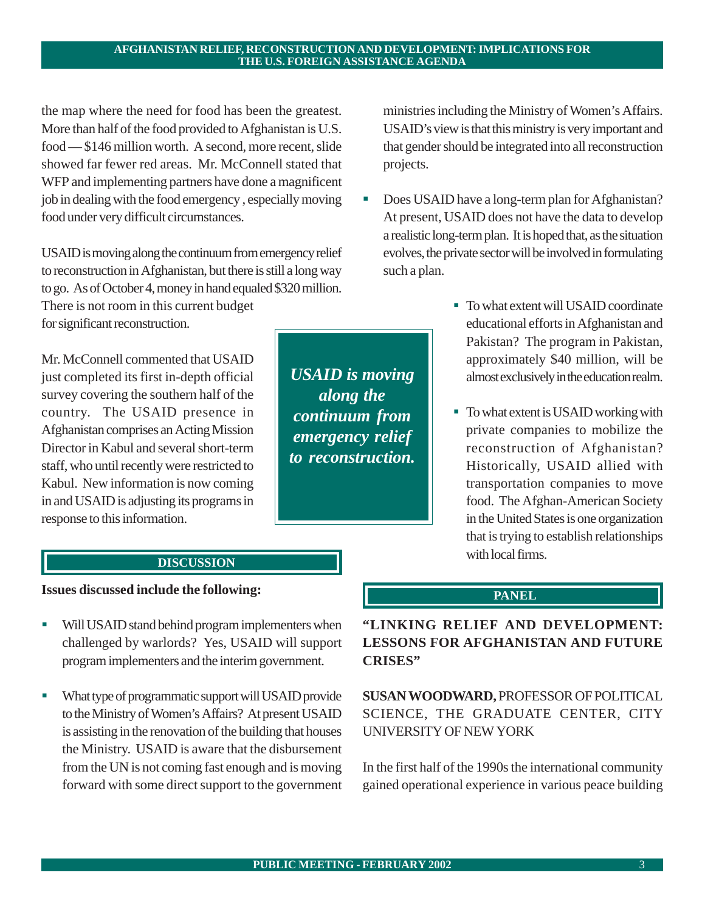the map where the need for food has been the greatest. More than half of the food provided to Afghanistan is U.S. food — \$146 million worth. A second, more recent, slide showed far fewer red areas. Mr. McConnell stated that WFP and implementing partners have done a magnificent job in dealing with the food emergency , especially moving food under very difficult circumstances.

USAID is moving along the continuum from emergency relief to reconstruction in Afghanistan, but there is still a long way to go. As of October 4, money in hand equaled \$320 million.

There is not room in this current budget for significant reconstruction.

Mr. McConnell commented that USAID just completed its first in-depth official survey covering the southern half of the country. The USAID presence in Afghanistan comprises an Acting Mission Director in Kabul and several short-term staff, who until recently were restricted to Kabul. New information is now coming in and USAID is adjusting its programs in response to this information.

*USAID is moving along the continuum from emergency relief to reconstruction.*

ministries including the Ministry of Women's Affairs. USAID's view is that this ministry is very important and that gender should be integrated into all reconstruction projects.

- Does USAID have a long-term plan for Afghanistan? At present, USAID does not have the data to develop a realistic long-term plan. It is hoped that, as the situation evolves, the private sector will be involved in formulating such a plan.
	- To what extent will USAID coordinate educational efforts in Afghanistan and Pakistan? The program in Pakistan, approximately \$40 million, will be almost exclusively in the education realm.
	- ! To what extent is USAID working with private companies to mobilize the reconstruction of Afghanistan? Historically, USAID allied with transportation companies to move food. The Afghan-American Society in the United States is one organization that is trying to establish relationships with local firms.

# **DISCUSSION**

## **Issues discussed include the following:**

- ! Will USAID stand behind program implementers when challenged by warlords? Yes, USAID will support program implementers and the interim government.
- **.** What type of programmatic support will USAID provide to the Ministry of Women's Affairs? At present USAID is assisting in the renovation of the building that houses the Ministry. USAID is aware that the disbursement from the UN is not coming fast enough and is moving forward with some direct support to the government

# **PANEL**

**"LINKING RELIEF AND DEVELOPMENT: LESSONS FOR AFGHANISTAN AND FUTURE CRISES"**

**SUSAN WOODWARD,** PROFESSOR OF POLITICAL SCIENCE, THE GRADUATE CENTER, CITY UNIVERSITY OF NEW YORK

In the first half of the 1990s the international community gained operational experience in various peace building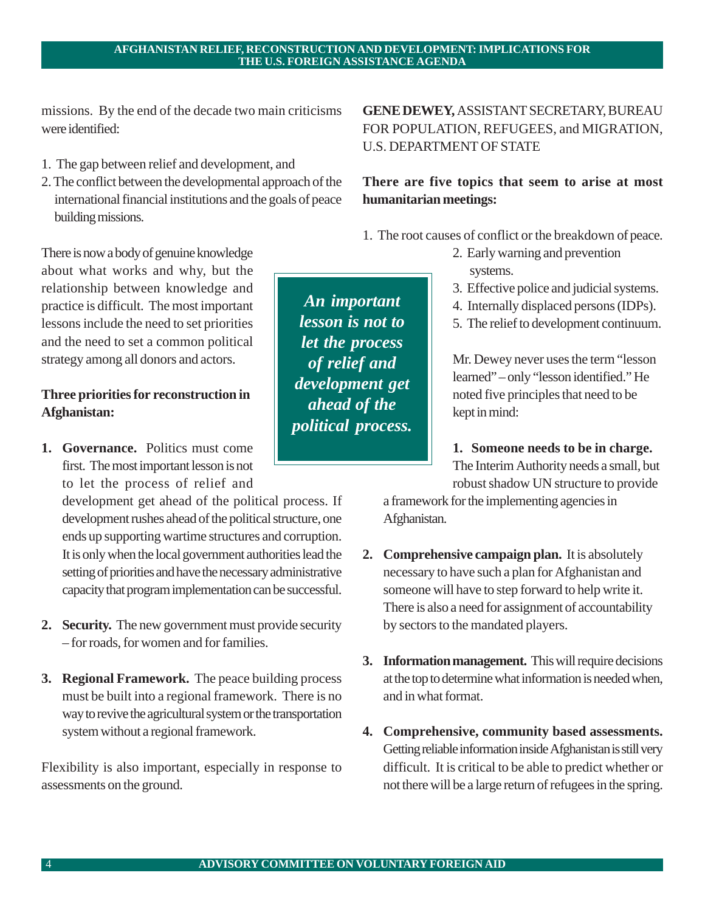**4. Comprehensive, community based assessments.** Getting reliable information inside Afghanistan is still very difficult. It is critical to be able to predict whether or not there will be a large return of refugees in the spring.

4 **ADVISORY COMMITTEE ON VOLUNTARY FOREIGN AID**

#### strategy among all donors and actors.

# **Three priorities for reconstruction in Afghanistan:**

There is now a body of genuine knowledge about what works and why, but the relationship between knowledge and practice is difficult. The most important lessons include the need to set priorities and the need to set a common political

**1. Governance.** Politics must come first. The most important lesson is not to let the process of relief and

development get ahead of the political process. If development rushes ahead of the political structure, one ends up supporting wartime structures and corruption. It is only when the local government authorities lead the setting of priorities and have the necessary administrative capacity that program implementation can be successful.

- **2. Security.** The new government must provide security – for roads, for women and for families.
- **3. Regional Framework.** The peace building process must be built into a regional framework. There is no way to revive the agricultural system or the transportation system without a regional framework.

Flexibility is also important, especially in response to assessments on the ground.

**GENE DEWEY,** ASSISTANT SECRETARY, BUREAU FOR POPULATION, REFUGEES, and MIGRATION, U.S. DEPARTMENT OF STATE

# **There are five topics that seem to arise at most humanitarian meetings:**

1. The root causes of conflict or the breakdown of peace.

- 2. Early warning and prevention systems.
- 3. Effective police and judicial systems.
- 4. Internally displaced persons (IDPs).
- 5. The relief to development continuum.

Mr. Dewey never uses the term "lesson learned" – only "lesson identified." He noted five principles that need to be kept in mind:

**1. Someone needs to be in charge.**

The Interim Authority needs a small, but robust shadow UN structure to provide

a framework for the implementing agencies in Afghanistan.

- **2. Comprehensive campaign plan.** It is absolutely necessary to have such a plan for Afghanistan and someone will have to step forward to help write it. There is also a need for assignment of accountability by sectors to the mandated players.
- **3. Information management.** This will require decisions at the top to determine what information is needed when, and in what format.

# **AFGHANISTAN RELIEF, RECONSTRUCTION AND DEVELOPMENT: IMPLICATIONS FOR THE U.S. FOREIGN ASSISTANCE AGENDA**

*An important lesson is not to let the process of relief and development get ahead of the political process.*

missions. By the end of the decade two main criticisms were identified:

- 1. The gap between relief and development, and
- 2. The conflict between the developmental approach of the international financial institutions and the goals of peace building missions.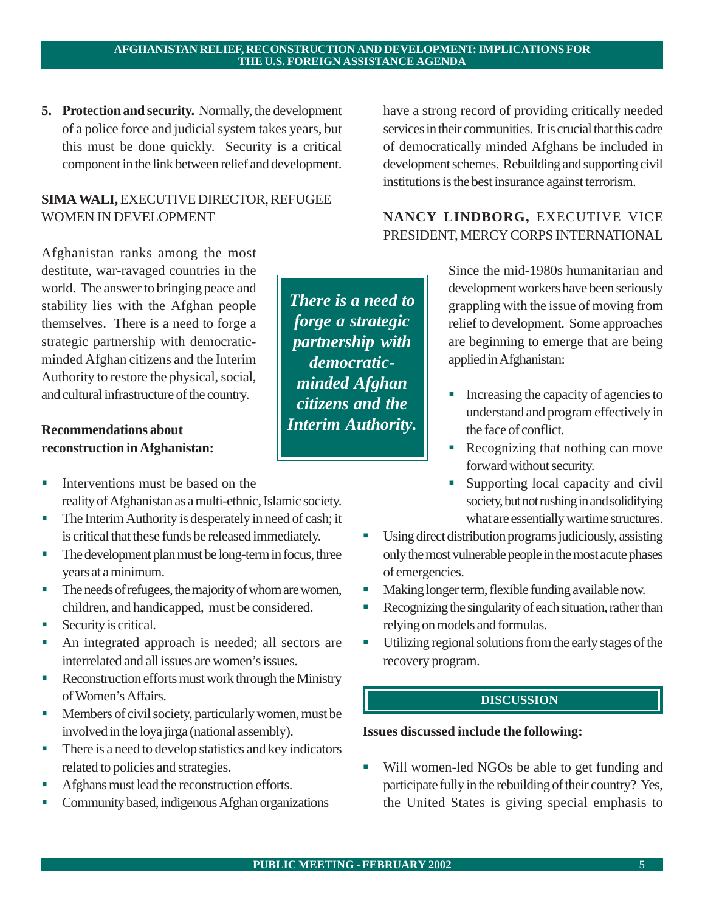**5. Protection and security.** Normally, the development of a police force and judicial system takes years, but this must be done quickly. Security is a critical component in the link between relief and development.

# **SIMA WALI,** EXECUTIVE DIRECTOR, REFUGEE WOMEN IN DEVELOPMENT

Afghanistan ranks among the most destitute, war-ravaged countries in the world. The answer to bringing peace and stability lies with the Afghan people themselves. There is a need to forge a strategic partnership with democraticminded Afghan citizens and the Interim Authority to restore the physical, social, and cultural infrastructure of the country.

# **Recommendations about reconstruction in Afghanistan:**

- **I.** Interventions must be based on the reality of Afghanistan as a multi-ethnic, Islamic society.
- ! The Interim Authority is desperately in need of cash; it is critical that these funds be released immediately.
- ! The development plan must be long-term in focus, three years at a minimum.
- ! The needs of refugees, the majority of whom are women, children, and handicapped, must be considered.
- **Security is critical.**
- An integrated approach is needed; all sectors are interrelated and all issues are women's issues.
- Reconstruction efforts must work through the Ministry of Women's Affairs.
- ! Members of civil society, particularly women, must be involved in the loya jirga (national assembly).
- ! There is a need to develop statistics and key indicators related to policies and strategies.
- ! Afghans must lead the reconstruction efforts.
- ! Community based, indigenous Afghan organizations

have a strong record of providing critically needed services in their communities. It is crucial that this cadre of democratically minded Afghans be included in development schemes. Rebuilding and supporting civil institutions is the best insurance against terrorism.

# **NANCY LINDBORG,** EXECUTIVE VICE PRESIDENT, MERCY CORPS INTERNATIONAL

*There is a need to forge a strategic partnership with democraticminded Afghan citizens and the Interim Authority.*

Since the mid-1980s humanitarian and development workers have been seriously grappling with the issue of moving from relief to development. Some approaches are beginning to emerge that are being applied in Afghanistan:

- ! Increasing the capacity of agencies to understand and program effectively in the face of conflict.
- ! Recognizing that nothing can move forward without security.
- ! Supporting local capacity and civil society, but not rushing in and solidifying what are essentially wartime structures.
- Using direct distribution programs judiciously, assisting only the most vulnerable people in the most acute phases of emergencies.
- ! Making longer term, flexible funding available now.
- ! Recognizing the singularity of each situation, rather than relying on models and formulas.
- ! Utilizing regional solutions from the early stages of the recovery program.

# **DISCUSSION**

# **Issues discussed include the following:**

Will women-led NGOs be able to get funding and participate fully in the rebuilding of their country? Yes, the United States is giving special emphasis to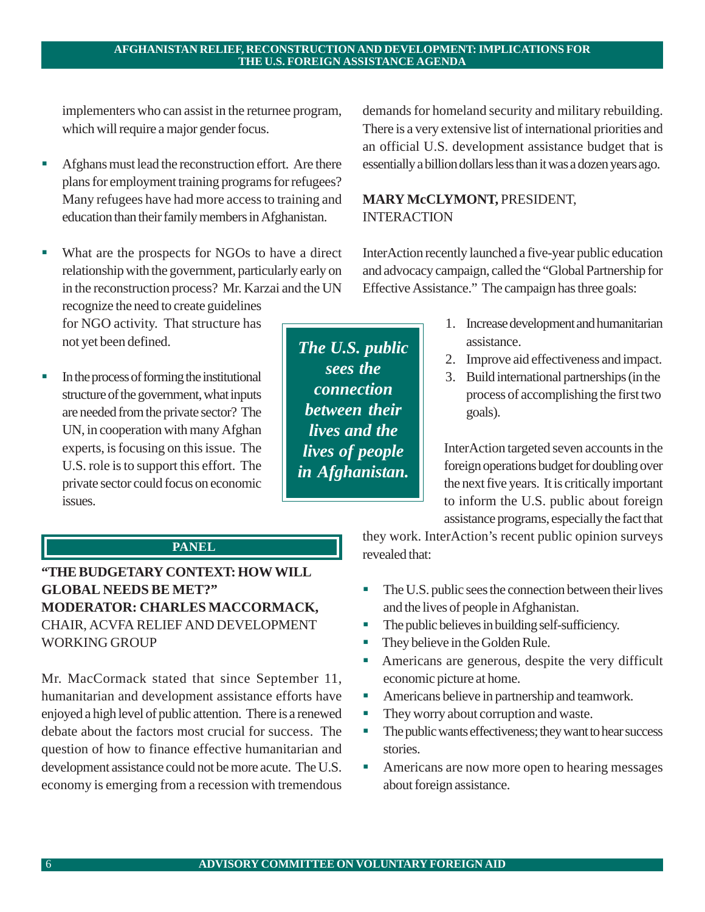implementers who can assist in the returnee program, which will require a major gender focus.

- ! Afghans must lead the reconstruction effort. Are there plans for employment training programs for refugees? Many refugees have had more access to training and education than their family members in Afghanistan.
- What are the prospects for NGOs to have a direct relationship with the government, particularly early on in the reconstruction process? Mr. Karzai and the UN recognize the need to create guidelines for NGO activity. That structure has not yet been defined.
- ! In the process of forming the institutional structure of the government, what inputs are needed from the private sector? The UN, in cooperation with many Afghan experts, is focusing on this issue. The U.S. role is to support this effort. The private sector could focus on economic issues.

*The U.S. public sees the connection between their lives and the lives of people in Afghanistan.*

demands for homeland security and military rebuilding. There is a very extensive list of international priorities and an official U.S. development assistance budget that is essentially a billion dollars less than it was a dozen years ago.

# **MARY McCLYMONT,** PRESIDENT, INTERACTION

InterAction recently launched a five-year public education and advocacy campaign, called the "Global Partnership for Effective Assistance." The campaign has three goals:

- 1. Increase development and humanitarian assistance.
- 2. Improve aid effectiveness and impact.
- 3. Build international partnerships (in the process of accomplishing the first two goals).

InterAction targeted seven accounts in the foreign operations budget for doubling over the next five years. It is critically important to inform the U.S. public about foreign assistance programs, especially the fact that

# **. PANEL**

**"THE BUDGETARY CONTEXT: HOW WILL GLOBAL NEEDS BE MET?" MODERATOR: CHARLES MACCORMACK,** CHAIR, ACVFA RELIEF AND DEVELOPMENT WORKING GROUP

Mr. MacCormack stated that since September 11, humanitarian and development assistance efforts have enjoyed a high level of public attention. There is a renewed debate about the factors most crucial for success. The question of how to finance effective humanitarian and development assistance could not be more acute. The U.S. economy is emerging from a recession with tremendous

they work. InterAction's recent public opinion surveys revealed that:

- ! The U.S. public sees the connection between their lives and the lives of people in Afghanistan.
- ! The public believes in building self-sufficiency.
- ! They believe in the Golden Rule.
- ! Americans are generous, despite the very difficult economic picture at home.
- ! Americans believe in partnership and teamwork.
- ! They worry about corruption and waste.
- ! The public wants effectiveness; they want to hear success stories.
- ! Americans are now more open to hearing messages about foreign assistance.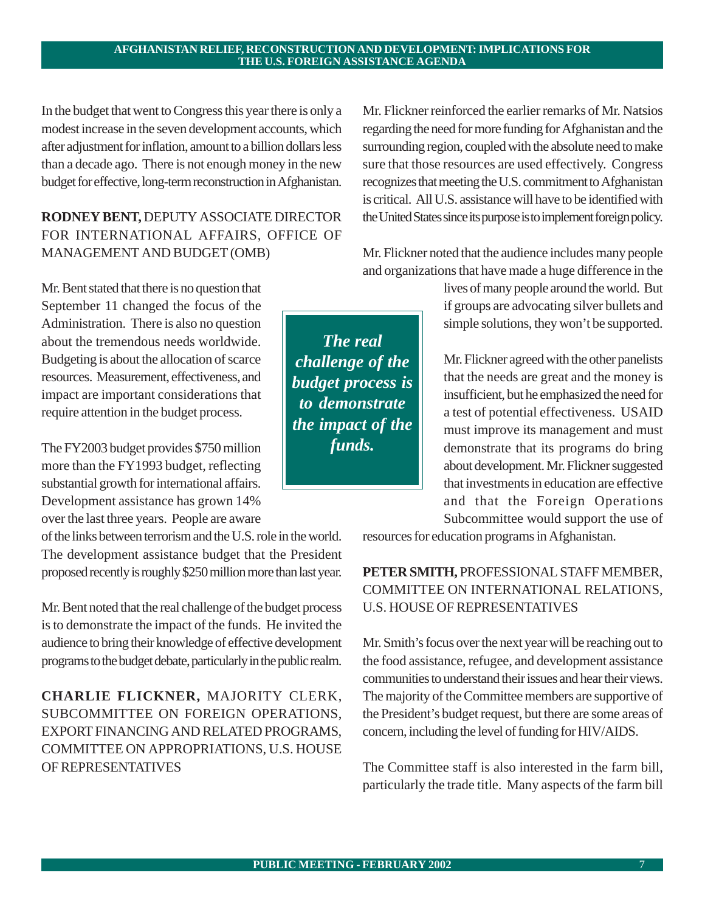In the budget that went to Congress this year there is only a modest increase in the seven development accounts, which after adjustment for inflation, amount to a billion dollars less than a decade ago. There is not enough money in the new budget for effective, long-term reconstruction in Afghanistan.

# **RODNEY BENT,** DEPUTY ASSOCIATE DIRECTOR FOR INTERNATIONAL AFFAIRS, OFFICE OF MANAGEMENT AND BUDGET (OMB)

Mr. Bent stated that there is no question that September 11 changed the focus of the Administration. There is also no question about the tremendous needs worldwide. Budgeting is about the allocation of scarce resources. Measurement, effectiveness, and impact are important considerations that require attention in the budget process.

The FY2003 budget provides \$750 million more than the FY1993 budget, reflecting substantial growth for international affairs. Development assistance has grown 14% over the last three years. People are aware

over the last three years. Feople are aware<br>of the links between terrorism and the U.S. role in the world. The development assistance budget that the President proposed recently is roughly \$250 million more than last year.

Mr. Bent noted that the real challenge of the budget process is to demonstrate the impact of the funds. He invited the audience to bring their knowledge of effective development programs to the budget debate, particularly in the public realm.

**CHARLIE FLICKNER,** MAJORITY CLERK, SUBCOMMITTEE ON FOREIGN OPERATIONS, EXPORT FINANCING AND RELATED PROGRAMS, COMMITTEE ON APPROPRIATIONS, U.S. HOUSE OF REPRESENTATIVES

Mr. Flickner reinforced the earlier remarks of Mr. Natsios regarding the need for more funding for Afghanistan and the surrounding region, coupled with the absolute need to make sure that those resources are used effectively. Congress recognizes that meeting the U.S. commitment to Afghanistan is critical. All U.S. assistance will have to be identified with the United States since its purpose is to implement foreign policy.

Mr. Flickner noted that the audience includes many people and organizations that have made a huge difference in the

> lives of many people around the world. But if groups are advocating silver bullets and simple solutions, they won't be supported.

> Mr. Flickner agreed with the other panelists that the needs are great and the money is insufficient, but he emphasized the need for a test of potential effectiveness. USAID must improve its management and must demonstrate that its programs do bring about development. Mr. Flickner suggested that investments in education are effective and that the Foreign Operations Subcommittee would support the use of

resources for education programs in Afghanistan.

# **PETER SMITH,** PROFESSIONAL STAFF MEMBER, COMMITTEE ON INTERNATIONAL RELATIONS, U.S. HOUSE OF REPRESENTATIVES

Mr. Smith's focus over the next year will be reaching out to the food assistance, refugee, and development assistance communities to understand their issues and hear their views. The majority of the Committee members are supportive of the President's budget request, but there are some areas of concern, including the level of funding for HIV/AIDS.

The Committee staff is also interested in the farm bill, particularly the trade title. Many aspects of the farm bill

*The real challenge of the budget process is to demonstrate the impact of the funds.*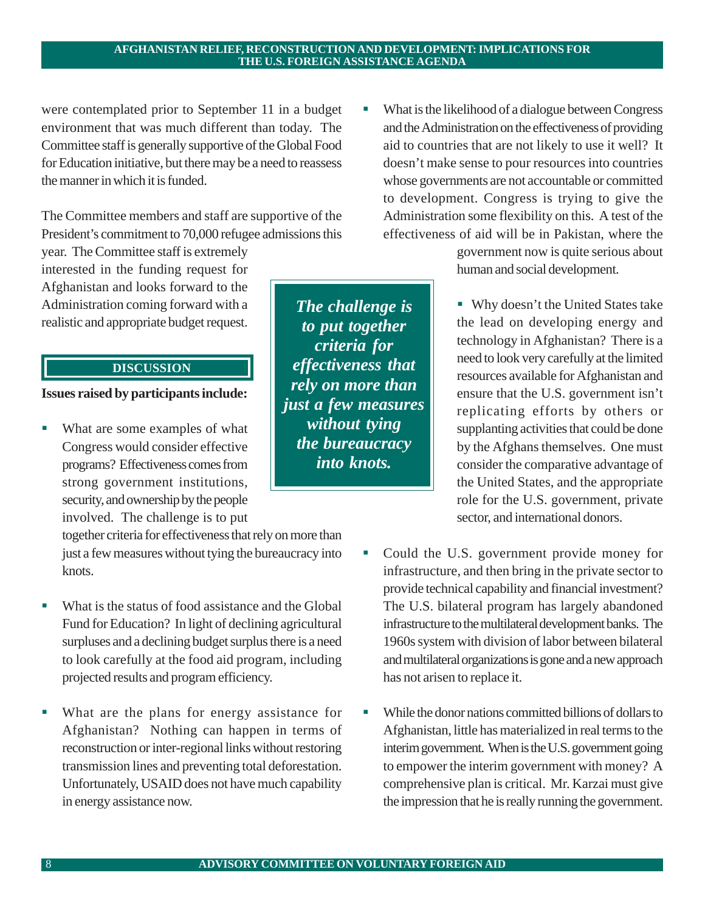were contemplated prior to September 11 in a budget environment that was much different than today. The Committee staff is generally supportive of the Global Food for Education initiative, but there may be a need to reassess the manner in which it is funded.

The Committee members and staff are supportive of the President's commitment to 70,000 refugee admissions this

year. The Committee staff is extremely interested in the funding request for Afghanistan and looks forward to the Administration coming forward with a realistic and appropriate budget request.

# **DISCUSSION**

**Issues raised by participants include:**

What are some examples of what Congress would consider effective programs? Effectiveness comes from strong government institutions, security, and ownership by the people involved. The challenge is to put

together criteria for effectiveness that rely on more than just a few measures without tying the bureaucracy into knots.

- What is the status of food assistance and the Global Fund for Education? In light of declining agricultural surpluses and a declining budget surplus there is a need to look carefully at the food aid program, including projected results and program efficiency.
- What are the plans for energy assistance for Afghanistan? Nothing can happen in terms of reconstruction or inter-regional links without restoring transmission lines and preventing total deforestation. Unfortunately, USAID does not have much capability in energy assistance now.

*The challenge is to put together criteria for effectiveness that rely on more than just a few measures without tying the bureaucracy into knots.*

! What is the likelihood of a dialogue between Congress and the Administration on the effectiveness of providing aid to countries that are not likely to use it well? It doesn't make sense to pour resources into countries whose governments are not accountable or committed to development. Congress is trying to give the Administration some flexibility on this. A test of the effectiveness of aid will be in Pakistan, where the

> government now is quite serious about human and social development.

! Why doesn't the United States take the lead on developing energy and technology in Afghanistan? There is a need to look very carefully at the limited resources available for Afghanistan and ensure that the U.S. government isn't replicating efforts by others or supplanting activities that could be done by the Afghans themselves. One must consider the comparative advantage of the United States, and the appropriate role for the U.S. government, private sector, and international donors.

- Could the U.S. government provide money for infrastructure, and then bring in the private sector to provide technical capability and financial investment? The U.S. bilateral program has largely abandoned infrastructure to the multilateral development banks. The 1960s system with division of labor between bilateral and multilateral organizations is gone and a new approach has not arisen to replace it.
- ! While the donor nations committed billions of dollars to Afghanistan, little has materialized in real terms to the interim government. When is the U.S. government going to empower the interim government with money? A comprehensive plan is critical. Mr. Karzai must give the impression that he is really running the government.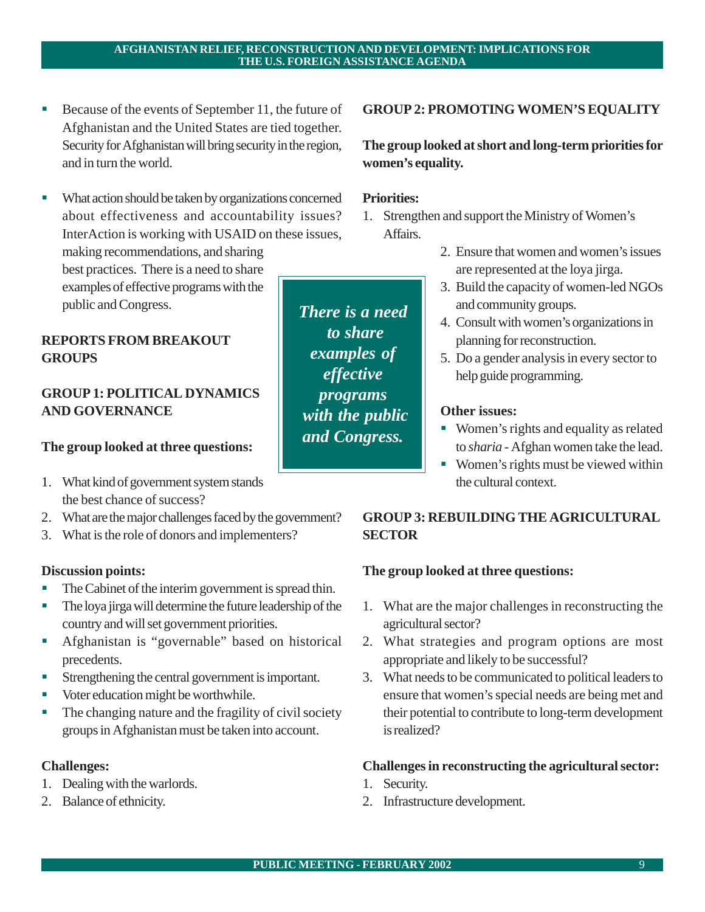*There is a need to share examples of effective programs with the public and Congress.*

- Because of the events of September 11, the future of Afghanistan and the United States are tied together. Security for Afghanistan will bring security in the region, and in turn the world.
- ! What action should be taken by organizations concerned about effectiveness and accountability issues? InterAction is working with USAID on these issues, making recommendations, and sharing best practices. There is a need to share examples of effective programs with the

# **REPORTS FROM BREAKOUT GROUPS**

public and Congress.

# **GROUP 1: POLITICAL DYNAMICS AND GOVERNANCE**

# **The group looked at three questions:**

- 1. What kind of government system stands the best chance of success?
- 2. What are the major challenges faced by the government?
- 3. What is the role of donors and implementers?

# **Discussion points:**

- ! The Cabinet of the interim government is spread thin.
- ! The loya jirga will determine the future leadership of the country and will set government priorities.
- ! Afghanistan is "governable" based on historical precedents.
- Strengthening the central government is important.
- ! Voter education might be worthwhile.
- ! The changing nature and the fragility of civil society groups in Afghanistan must be taken into account.

# **Challenges:**

- 1. Dealing with the warlords.
- 2. Balance of ethnicity.

# **GROUP 2: PROMOTING WOMEN'S EQUALITY**

**The group looked at short and long-term priorities for women's equality.**

# **Priorities:**

- 1. Strengthen and support the Ministry of Women's Affairs.
	- 2. Ensure that women and women's issues are represented at the loya jirga.
	- 3. Build the capacity of women-led NGOs and community groups.
	- 4. Consult with women's organizations in planning for reconstruction.
	- 5. Do a gender analysis in every sector to help guide programming.

# **Other issues:**

- ! Women's rights and equality as related to *sharia* - Afghan women take the lead.
- ! Women's rights must be viewed within the cultural context.

# **GROUP 3: REBUILDING THE AGRICULTURAL SECTOR**

# **The group looked at three questions:**

- 1. What are the major challenges in reconstructing the agricultural sector?
- 2. What strategies and program options are most appropriate and likely to be successful?
- 3. What needs to be communicated to political leaders to ensure that women's special needs are being met and their potential to contribute to long-term development is realized?

# **Challenges in reconstructing the agricultural sector:**

- 1. Security.
- 2. Infrastructure development.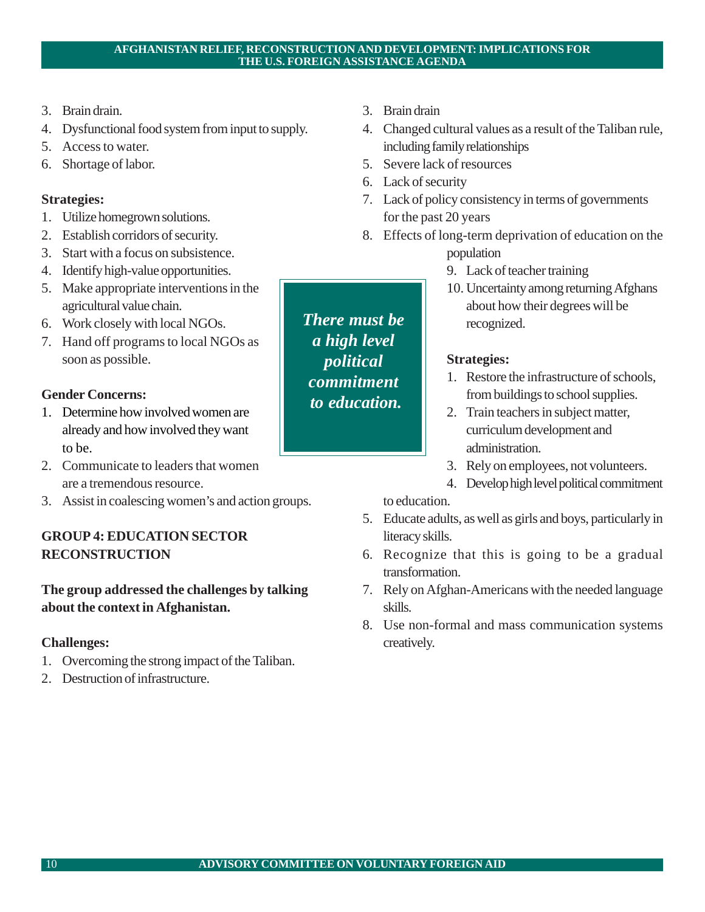- 3. Brain drain.
- 4. Dysfunctional food system from input to supply.
- 5. Access to water.
- 6. Shortage of labor.

# **Strategies:**

- 1. Utilize homegrown solutions.
- 2. Establish corridors of security.
- 3. Start with a focus on subsistence.
- 4. Identify high-value opportunities.
- 5. Make appropriate interventions in the agricultural value chain.
- 6. Work closely with local NGOs.
- 7. Hand off programs to local NGOs as soon as possible.

# **Gender Concerns:**

- 1. Determine how involved women are already and how involved they want to be.
- 2. Communicate to leaders that women are a tremendous resource.
- 3. Assist in coalescing women's and action groups.

# **GROUP 4: EDUCATION SECTOR RECONSTRUCTION**

# **The group addressed the challenges by talking about the context in Afghanistan.**

# **Challenges:**

- 1. Overcoming the strong impact of the Taliban.
- 2. Destruction of infrastructure.
- 3. Brain drain
- 4. Changed cultural values as a result of the Taliban rule, including family relationships
- 5. Severe lack of resources
- 6. Lack of security
- 7. Lack of policy consistency in terms of governments for the past 20 years
- 8. Effects of long-term deprivation of education on the population
	- 9. Lack of teacher training
	- 10. Uncertainty among returning Afghans about how their degrees will be recognized.

# **Strategies:**

- 1. Restore the infrastructure of schools, from buildings to school supplies.
- 2. Train teachers in subject matter, curriculum development and administration.
- 3. Rely on employees, not volunteers.
- 4. Develop high level political commitment to education.
- 5. Educate adults, as well as girls and boys, particularly in literacy skills.
- 6. Recognize that this is going to be a gradual transformation.
- 7. Rely on Afghan-Americans with the needed language skills.
- 8. Use non-formal and mass communication systems creatively.

*There must be a high level political commitment to education.*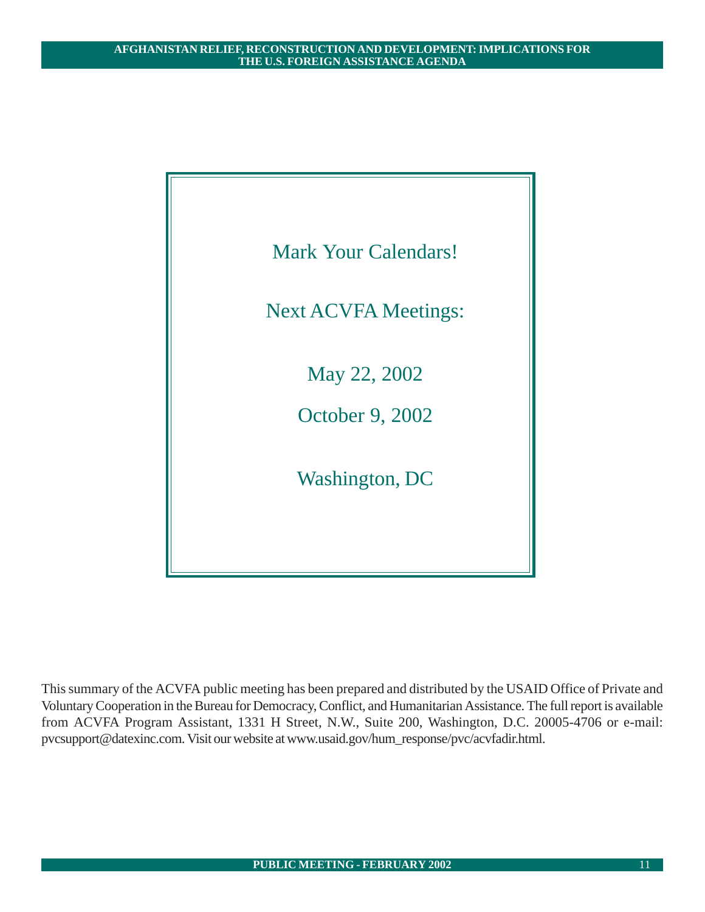

This summary of the ACVFA public meeting has been prepared and distributed by the USAID Office of Private and Voluntary Cooperation in the Bureau for Democracy, Conflict, and Humanitarian Assistance. The full report is available from ACVFA Program Assistant, 1331 H Street, N.W., Suite 200, Washington, D.C. 20005-4706 or e-mail: pvcsupport@datexinc.com. Visit our website at www.usaid.gov/hum\_response/pvc/acvfadir.html.